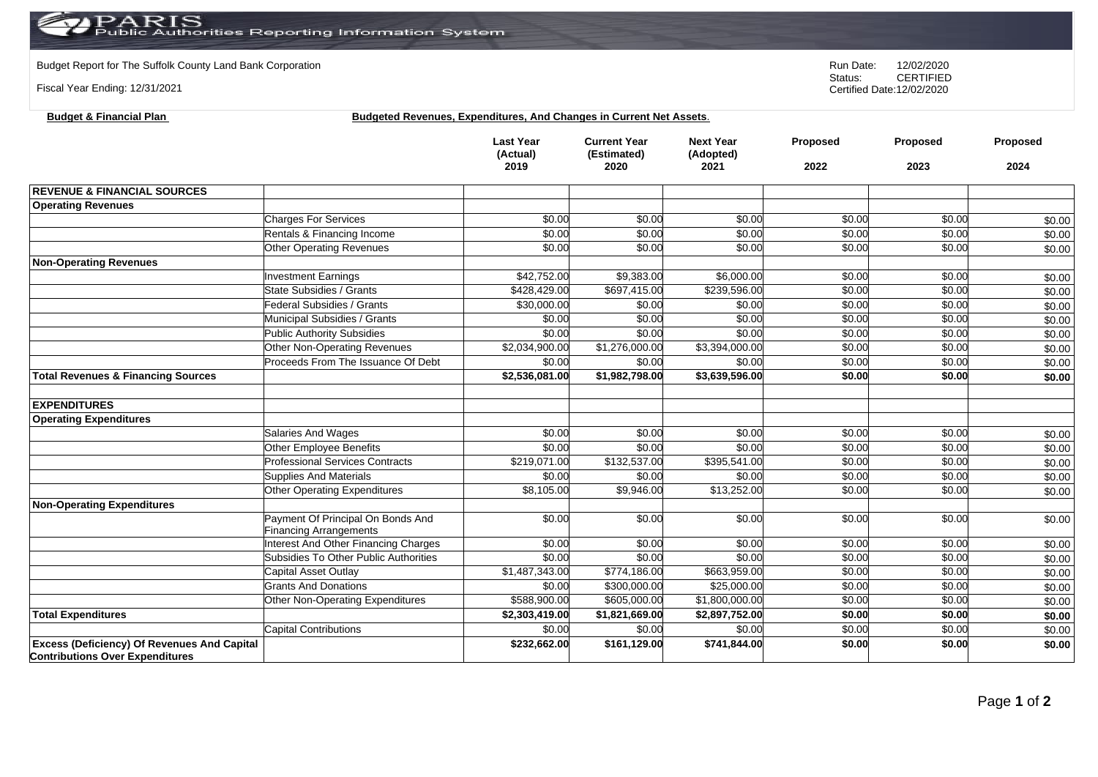Budget Report for The Suffolk County Land Bank Corporation **Run Date:** 12/02/2020<br>Status: CERTIFIED

Fiscal Year Ending: 12/31/2021

**Budget & Financial Plan** 

**CERTIFIED** Certified Date:12/02/2020

|  |  |  | <b>Budgeted Revenues, Expenditures, And Changes in Current Net Assets.</b> |  |
|--|--|--|----------------------------------------------------------------------------|--|
|--|--|--|----------------------------------------------------------------------------|--|

|                                                                                              |                                                                    | <b>Last Year</b><br>(Actual)<br>2019 | <b>Current Year</b><br>(Estimated)<br>2020 | <b>Next Year</b><br>(Adopted)<br>2021 | <b>Proposed</b><br>2022 | <b>Proposed</b><br>2023 | <b>Proposed</b><br>2024 |
|----------------------------------------------------------------------------------------------|--------------------------------------------------------------------|--------------------------------------|--------------------------------------------|---------------------------------------|-------------------------|-------------------------|-------------------------|
| <b>REVENUE &amp; FINANCIAL SOURCES</b>                                                       |                                                                    |                                      |                                            |                                       |                         |                         |                         |
| <b>Operating Revenues</b>                                                                    |                                                                    |                                      |                                            |                                       |                         |                         |                         |
|                                                                                              | <b>Charges For Services</b>                                        | \$0.00                               | \$0.00                                     | \$0.00                                | \$0.00                  | \$0.00                  | \$0.00                  |
|                                                                                              | Rentals & Financing Income                                         | \$0.00                               | \$0.00                                     | \$0.00                                | \$0.00                  | \$0.00                  | \$0.00                  |
|                                                                                              | <b>Other Operating Revenues</b>                                    | \$0.00                               | \$0.00                                     | \$0.00                                | \$0.00                  | \$0.00                  | \$0.00                  |
| <b>Non-Operating Revenues</b>                                                                |                                                                    |                                      |                                            |                                       |                         |                         |                         |
|                                                                                              | <b>Investment Earnings</b>                                         | \$42,752.00                          | \$9,383.00                                 | \$6,000.00                            | \$0.00                  | \$0.00                  | \$0.00                  |
|                                                                                              | State Subsidies / Grants                                           | \$428.429.00                         | \$697,415.00                               | \$239,596.00                          | \$0.00                  | \$0.00                  | \$0.00                  |
|                                                                                              | Federal Subsidies / Grants                                         | \$30,000.00                          | \$0.00                                     | \$0.00                                | \$0.00                  | \$0.00                  | \$0.00                  |
|                                                                                              | Municipal Subsidies / Grants                                       | \$0.00                               | \$0.00                                     | \$0.00                                | \$0.00                  | \$0.00                  | \$0.00                  |
|                                                                                              | <b>Public Authority Subsidies</b>                                  | \$0.00                               | \$0.00                                     | \$0.00                                | \$0.00                  | \$0.00                  | \$0.00                  |
|                                                                                              | Other Non-Operating Revenues                                       | \$2,034,900.00                       | \$1,276,000.00                             | \$3,394,000.00                        | \$0.00                  | \$0.00                  | \$0.00                  |
|                                                                                              | Proceeds From The Issuance Of Debt                                 | \$0.00                               | \$0.00                                     | \$0.00                                | \$0.00                  | \$0.00                  | \$0.00                  |
| <b>Total Revenues &amp; Financing Sources</b>                                                |                                                                    | \$2,536,081.00                       | \$1,982,798.00                             | \$3,639,596.00                        | \$0.00                  | \$0.00                  | \$0.00                  |
| <b>EXPENDITURES</b>                                                                          |                                                                    |                                      |                                            |                                       |                         |                         |                         |
| <b>Operating Expenditures</b>                                                                |                                                                    |                                      |                                            |                                       |                         |                         |                         |
|                                                                                              | <b>Salaries And Wages</b>                                          | \$0.00                               | \$0.00                                     | \$0.00                                | \$0.00                  | \$0.00                  | \$0.00                  |
|                                                                                              | Other Employee Benefits                                            | \$0.00                               | \$0.00                                     | \$0.00                                | \$0.00                  | \$0.00                  | \$0.00                  |
|                                                                                              | <b>Professional Services Contracts</b>                             | \$219,071.00                         | \$132,537.00                               | \$395,541.00                          | \$0.00                  | \$0.00                  | \$0.00                  |
|                                                                                              | <b>Supplies And Materials</b>                                      | \$0.00                               | \$0.00                                     | \$0.00                                | \$0.00                  | \$0.00                  | \$0.00                  |
|                                                                                              | Other Operating Expenditures                                       | \$8,105.00                           | \$9,946.00                                 | \$13,252.00                           | \$0.00                  | \$0.00                  | \$0.00                  |
| <b>Non-Operating Expenditures</b>                                                            |                                                                    |                                      |                                            |                                       |                         |                         |                         |
|                                                                                              | Payment Of Principal On Bonds And<br><b>Financing Arrangements</b> | \$0.00                               | \$0.00                                     | \$0.00                                | \$0.00                  | \$0.00                  | \$0.00                  |
|                                                                                              | Interest And Other Financing Charges                               | \$0.00                               | \$0.00                                     | \$0.00                                | \$0.00                  | \$0.00                  | \$0.00                  |
|                                                                                              | Subsidies To Other Public Authorities                              | \$0.00                               | \$0.00                                     | \$0.00                                | \$0.00                  | \$0.00                  | \$0.00                  |
|                                                                                              | Capital Asset Outlay                                               | \$1,487,343.00                       | \$774,186.00                               | \$663,959.00                          | \$0.00                  | \$0.00                  | \$0.00                  |
|                                                                                              | <b>Grants And Donations</b>                                        | \$0.00                               | \$300,000.00                               | \$25,000.00                           | \$0.00                  | \$0.00                  | \$0.00                  |
|                                                                                              | Other Non-Operating Expenditures                                   | \$588,900.00                         | \$605,000.00                               | \$1,800,000.00                        | \$0.00                  | \$0.00                  | \$0.00                  |
| <b>Total Expenditures</b>                                                                    |                                                                    | \$2,303,419.00                       | \$1,821,669.00                             | \$2,897,752.00                        | \$0.00                  | \$0.00                  | \$0.00                  |
|                                                                                              | <b>Capital Contributions</b>                                       | \$0.00                               | \$0.00                                     | \$0.00                                | \$0.00                  | \$0.00                  | \$0.00                  |
| <b>Excess (Deficiency) Of Revenues And Capital</b><br><b>Contributions Over Expenditures</b> |                                                                    | \$232,662.00                         | \$161,129.00                               | \$741,844.00                          | \$0.00                  | \$0.00                  | \$0.00                  |